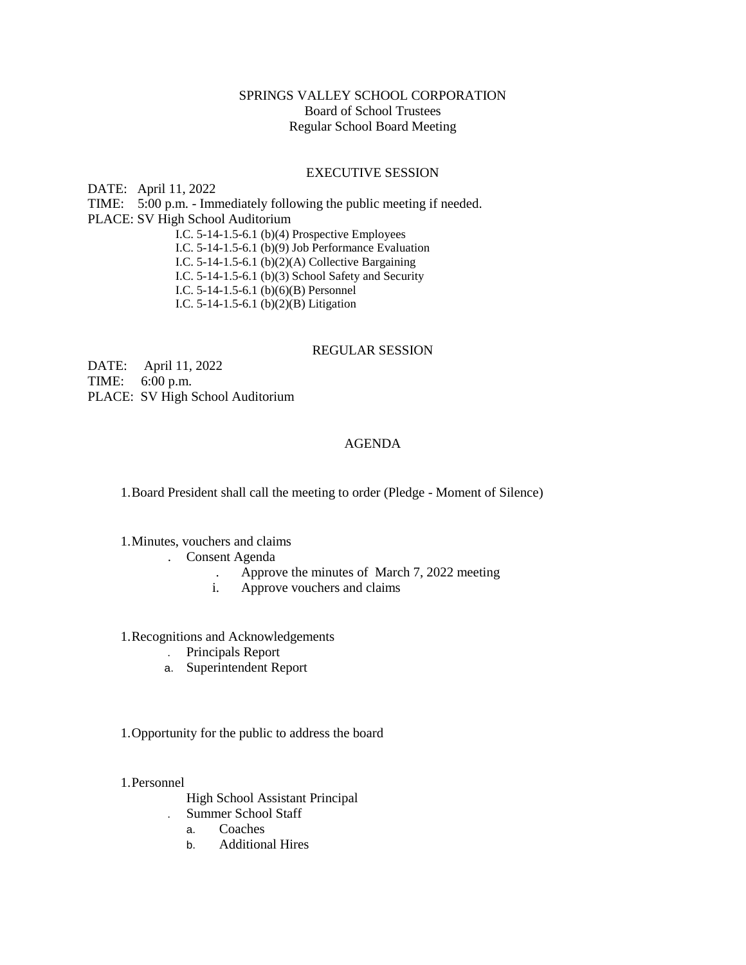## SPRINGS VALLEY SCHOOL CORPORATION Board of School Trustees Regular School Board Meeting

## EXECUTIVE SESSION

DATE: April 11, 2022 TIME: 5:00 p.m. - Immediately following the public meeting if needed. PLACE: SV High School Auditorium I.C. 5-14-1.5-6.1 (b)(4) Prospective Employees I.C. 5-14-1.5-6.1 (b)(9) Job Performance Evaluation I.C. 5-14-1.5-6.1 (b)(2)(A) Collective Bargaining I.C. 5-14-1.5-6.1 (b)(3) School Safety and Security I.C. 5-14-1.5-6.1 (b)(6)(B) Personnel I.C. 5-14-1.5-6.1 (b)(2)(B) Litigation

## REGULAR SESSION

DATE: April 11, 2022 TIME: 6:00 p.m. PLACE: SV High School Auditorium

## AGENDA

1.Board President shall call the meeting to order (Pledge - Moment of Silence)

1.Minutes, vouchers and claims

- . Consent Agenda
	- . Approve the minutes of March 7, 2022 meeting
	- i. Approve vouchers and claims

1.Recognitions and Acknowledgements

- . Principals Report
- a. Superintendent Report

1.Opportunity for the public to address the board

1.Personnel

High School Assistant Principal

- . Summer School Staff
	- a. Coaches
	- b. Additional Hires